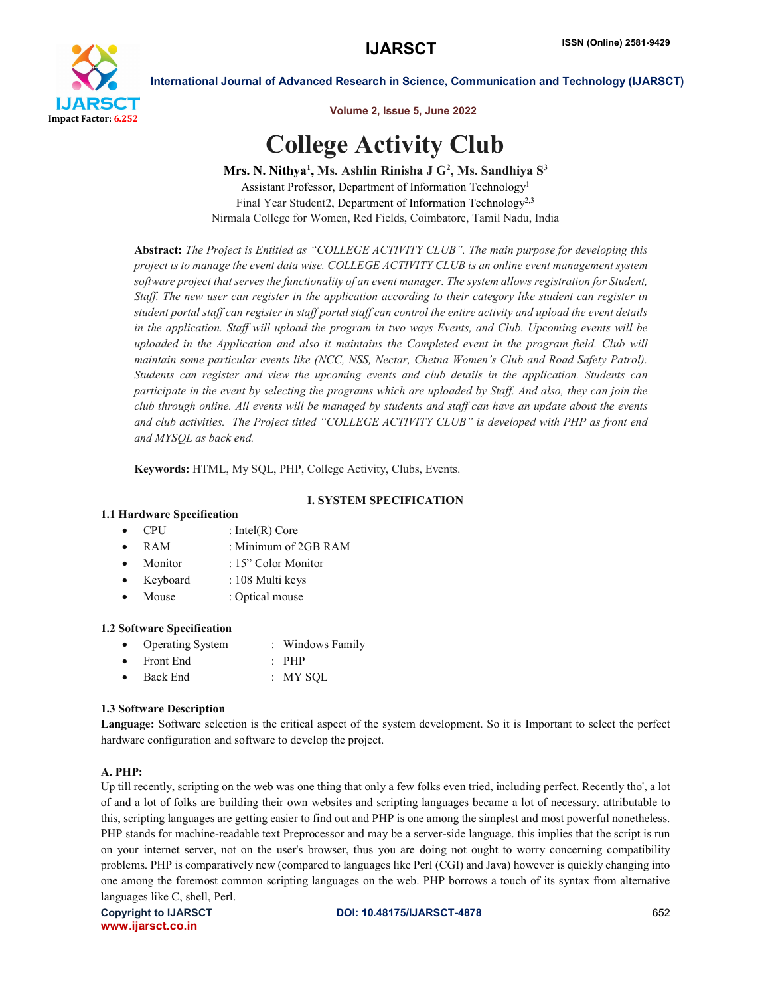

Volume 2, Issue 5, June 2022

# College Activity Club

Mrs. N. Nithya<sup>1</sup>, Ms. Ashlin Rinisha J  $G^2$ , Ms. Sandhiya  $S^3$ 

Assistant Professor, Department of Information Technology1 Final Year Student2, Department of Information Technology<sup>2,3</sup> Nirmala College for Women, Red Fields, Coimbatore, Tamil Nadu, India

Abstract: *The Project is Entitled as "COLLEGE ACTIVITY CLUB". The main purpose for developing this project is to manage the event data wise. COLLEGE ACTIVITY CLUB is an online event management system software project that serves the functionality of an event manager. The system allows registration for Student, Staff. The new user can register in the application according to their category like student can register in student portal staff can register in staff portal staff can control the entire activity and upload the event details in the application. Staff will upload the program in two ways Events, and Club. Upcoming events will be uploaded in the Application and also it maintains the Completed event in the program field. Club will maintain some particular events like (NCC, NSS, Nectar, Chetna Women's Club and Road Safety Patrol). Students can register and view the upcoming events and club details in the application. Students can participate in the event by selecting the programs which are uploaded by Staff. And also, they can join the club through online. All events will be managed by students and staff can have an update about the events and club activities. The Project titled "COLLEGE ACTIVITY CLUB" is developed with PHP as front end and MYSQL as back end.*

Keywords: HTML, My SQL, PHP, College Activity, Clubs, Events.

# I. SYSTEM SPECIFICATION

# 1.1 Hardware Specification

- CPU : Intel(R) Core
- RAM : Minimum of 2GB RAM
- Monitor : 15" Color Monitor
- Keyboard : 108 Multi keys
- Mouse : Optical mouse

# 1.2 Software Specification

- Operating System : Windows Family
- Front End : PHP Back End : MY SQL

# 1.3 Software Description

Language: Software selection is the critical aspect of the system development. So it is Important to select the perfect hardware configuration and software to develop the project.

# A. PHP:

Up till recently, scripting on the web was one thing that only a few folks even tried, including perfect. Recently tho', a lot of and a lot of folks are building their own websites and scripting languages became a lot of necessary. attributable to this, scripting languages are getting easier to find out and PHP is one among the simplest and most powerful nonetheless. PHP stands for machine-readable text Preprocessor and may be a server-side language. this implies that the script is run on your internet server, not on the user's browser, thus you are doing not ought to worry concerning compatibility problems. PHP is comparatively new (compared to languages like Perl (CGI) and Java) however is quickly changing into one among the foremost common scripting languages on the web. PHP borrows a touch of its syntax from alternative languages like C, shell, Perl.

www.ijarsct.co.in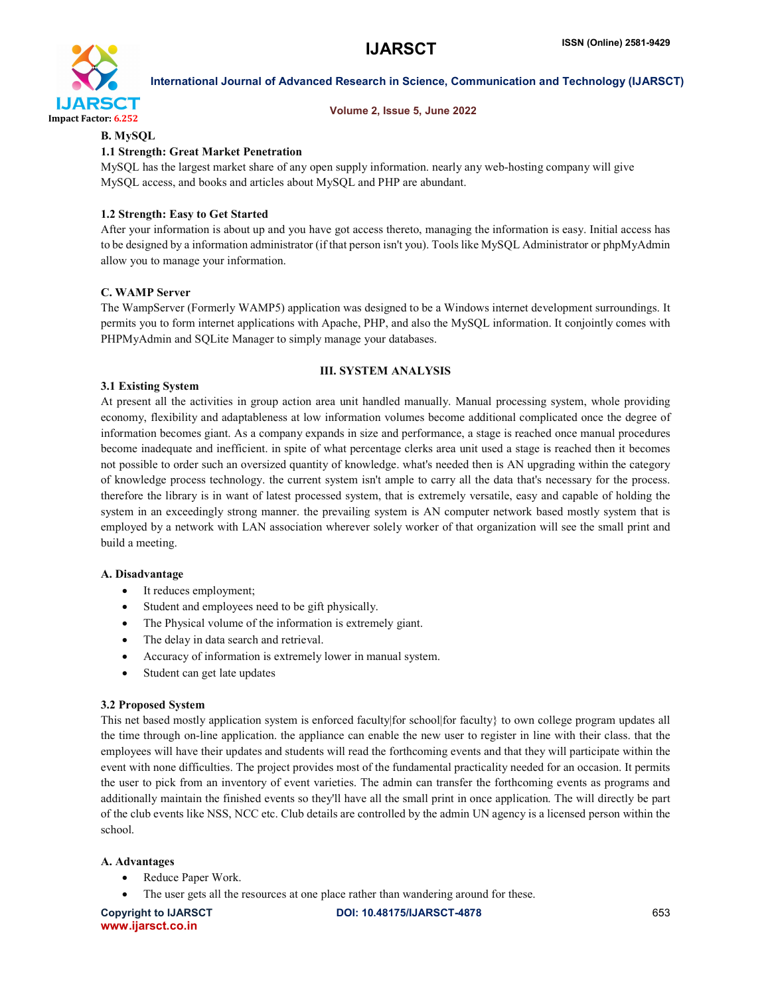

#### Volume 2, Issue 5, June 2022

# B. MySQL

# 1.1 Strength: Great Market Penetration

MySQL has the largest market share of any open supply information. nearly any web-hosting company will give MySQL access, and books and articles about MySQL and PHP are abundant.

#### 1.2 Strength: Easy to Get Started

After your information is about up and you have got access thereto, managing the information is easy. Initial access has to be designed by a information administrator (if that person isn't you). Tools like MySQL Administrator or phpMyAdmin allow you to manage your information.

#### C. WAMP Server

The WampServer (Formerly WAMP5) application was designed to be a Windows internet development surroundings. It permits you to form internet applications with Apache, PHP, and also the MySQL information. It conjointly comes with PHPMyAdmin and SQLite Manager to simply manage your databases.

#### III. SYSTEM ANALYSIS

#### 3.1 Existing System

At present all the activities in group action area unit handled manually. Manual processing system, whole providing economy, flexibility and adaptableness at low information volumes become additional complicated once the degree of information becomes giant. As a company expands in size and performance, a stage is reached once manual procedures become inadequate and inefficient. in spite of what percentage clerks area unit used a stage is reached then it becomes not possible to order such an oversized quantity of knowledge. what's needed then is AN upgrading within the category of knowledge process technology. the current system isn't ample to carry all the data that's necessary for the process. therefore the library is in want of latest processed system, that is extremely versatile, easy and capable of holding the system in an exceedingly strong manner. the prevailing system is AN computer network based mostly system that is employed by a network with LAN association wherever solely worker of that organization will see the small print and build a meeting.

#### A. Disadvantage

- It reduces employment;
- Student and employees need to be gift physically.
- The Physical volume of the information is extremely giant.
- The delay in data search and retrieval.
- Accuracy of information is extremely lower in manual system.
- Student can get late updates

#### 3.2 Proposed System

This net based mostly application system is enforced faculty|for school|for faculty} to own college program updates all the time through on-line application. the appliance can enable the new user to register in line with their class. that the employees will have their updates and students will read the forthcoming events and that they will participate within the event with none difficulties. The project provides most of the fundamental practicality needed for an occasion. It permits the user to pick from an inventory of event varieties. The admin can transfer the forthcoming events as programs and additionally maintain the finished events so they'll have all the small print in once application. The will directly be part of the club events like NSS, NCC etc. Club details are controlled by the admin UN agency is a licensed person within the school.

#### A. Advantages

- Reduce Paper Work.
- The user gets all the resources at one place rather than wandering around for these.

www.ijarsct.co.in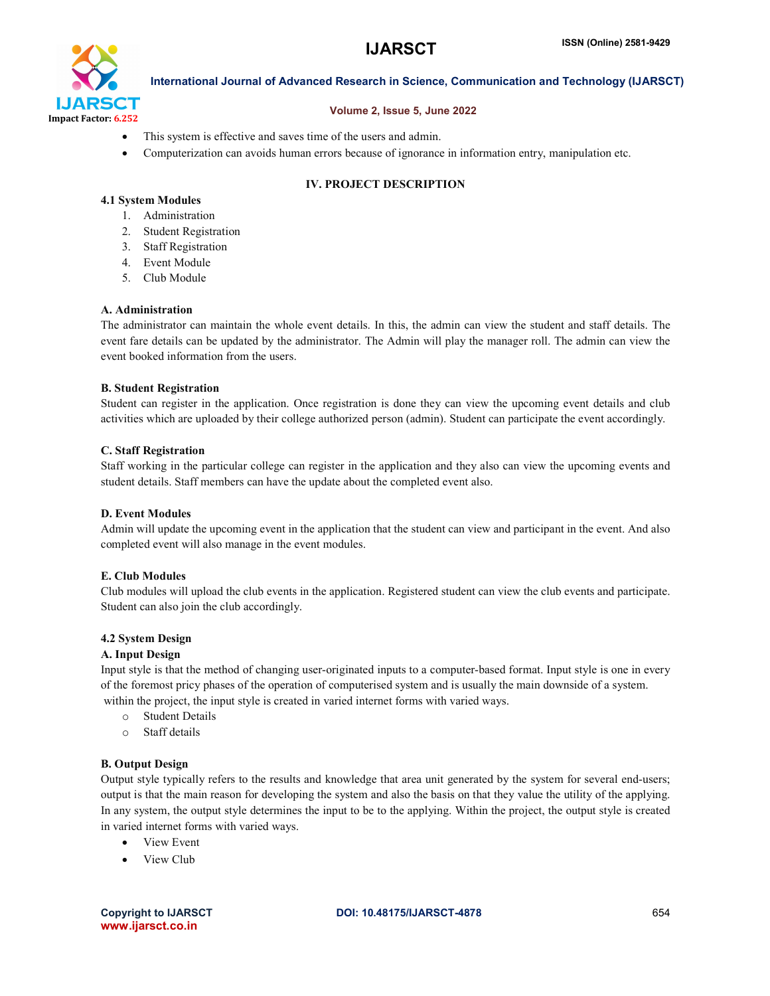

#### Volume 2, Issue 5, June 2022

- This system is effective and saves time of the users and admin.
- Computerization can avoids human errors because of ignorance in information entry, manipulation etc.

### IV. PROJECT DESCRIPTION

### 4.1 System Modules

- 1. Administration
- 2. Student Registration
- 3. Staff Registration
- 4. Event Module
- 5. Club Module

#### A. Administration

The administrator can maintain the whole event details. In this, the admin can view the student and staff details. The event fare details can be updated by the administrator. The Admin will play the manager roll. The admin can view the event booked information from the users.

#### B. Student Registration

Student can register in the application. Once registration is done they can view the upcoming event details and club activities which are uploaded by their college authorized person (admin). Student can participate the event accordingly.

#### C. Staff Registration

Staff working in the particular college can register in the application and they also can view the upcoming events and student details. Staff members can have the update about the completed event also.

#### D. Event Modules

Admin will update the upcoming event in the application that the student can view and participant in the event. And also completed event will also manage in the event modules.

#### E. Club Modules

Club modules will upload the club events in the application. Registered student can view the club events and participate. Student can also join the club accordingly.

#### 4.2 System Design

#### A. Input Design

Input style is that the method of changing user-originated inputs to a computer-based format. Input style is one in every of the foremost pricy phases of the operation of computerised system and is usually the main downside of a system. within the project, the input style is created in varied internet forms with varied ways.

- o Student Details
- o Staff details

#### B. Output Design

Output style typically refers to the results and knowledge that area unit generated by the system for several end-users; output is that the main reason for developing the system and also the basis on that they value the utility of the applying. In any system, the output style determines the input to be to the applying. Within the project, the output style is created in varied internet forms with varied ways.

- View Event
- View Club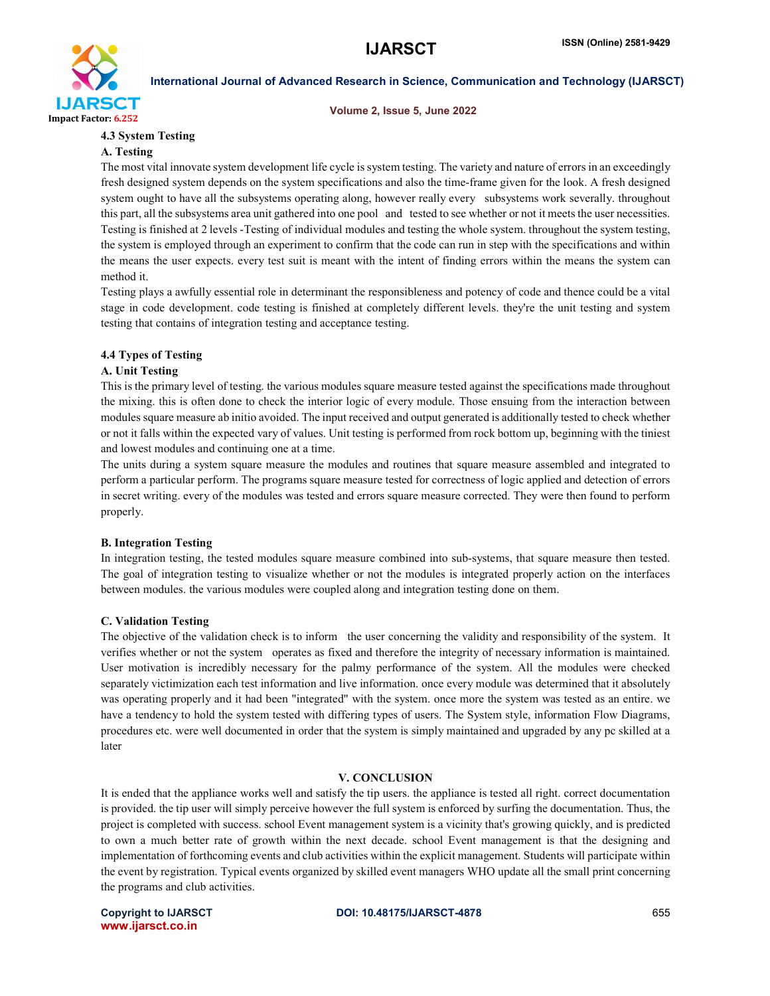

Volume 2, Issue 5, June 2022

### 4.3 System Testing

#### A. Testing

The most vital innovate system development life cycle is system testing. The variety and nature of errors in an exceedingly fresh designed system depends on the system specifications and also the time-frame given for the look. A fresh designed system ought to have all the subsystems operating along, however really every subsystems work severally. throughout this part, all the subsystems area unit gathered into one pool and tested to see whether or not it meets the user necessities. Testing is finished at 2 levels -Testing of individual modules and testing the whole system. throughout the system testing, the system is employed through an experiment to confirm that the code can run in step with the specifications and within the means the user expects. every test suit is meant with the intent of finding errors within the means the system can method it.

Testing plays a awfully essential role in determinant the responsibleness and potency of code and thence could be a vital stage in code development. code testing is finished at completely different levels. they're the unit testing and system testing that contains of integration testing and acceptance testing.

# 4.4 Types of Testing

#### A. Unit Testing

This is the primary level of testing. the various modules square measure tested against the specifications made throughout the mixing. this is often done to check the interior logic of every module. Those ensuing from the interaction between modules square measure ab initio avoided. The input received and output generated is additionally tested to check whether or not it falls within the expected vary of values. Unit testing is performed from rock bottom up, beginning with the tiniest and lowest modules and continuing one at a time.

The units during a system square measure the modules and routines that square measure assembled and integrated to perform a particular perform. The programs square measure tested for correctness of logic applied and detection of errors in secret writing. every of the modules was tested and errors square measure corrected. They were then found to perform properly.

#### B. Integration Testing

In integration testing, the tested modules square measure combined into sub-systems, that square measure then tested. The goal of integration testing to visualize whether or not the modules is integrated properly action on the interfaces between modules. the various modules were coupled along and integration testing done on them.

#### C. Validation Testing

The objective of the validation check is to inform the user concerning the validity and responsibility of the system. It verifies whether or not the system operates as fixed and therefore the integrity of necessary information is maintained. User motivation is incredibly necessary for the palmy performance of the system. All the modules were checked separately victimization each test information and live information. once every module was determined that it absolutely was operating properly and it had been "integrated" with the system. once more the system was tested as an entire. we have a tendency to hold the system tested with differing types of users. The System style, information Flow Diagrams, procedures etc. were well documented in order that the system is simply maintained and upgraded by any pc skilled at a later

#### V. CONCLUSION

It is ended that the appliance works well and satisfy the tip users. the appliance is tested all right. correct documentation is provided. the tip user will simply perceive however the full system is enforced by surfing the documentation. Thus, the project is completed with success. school Event management system is a vicinity that's growing quickly, and is predicted to own a much better rate of growth within the next decade. school Event management is that the designing and implementation of forthcoming events and club activities within the explicit management. Students will participate within the event by registration. Typical events organized by skilled event managers WHO update all the small print concerning the programs and club activities.

www.ijarsct.co.in